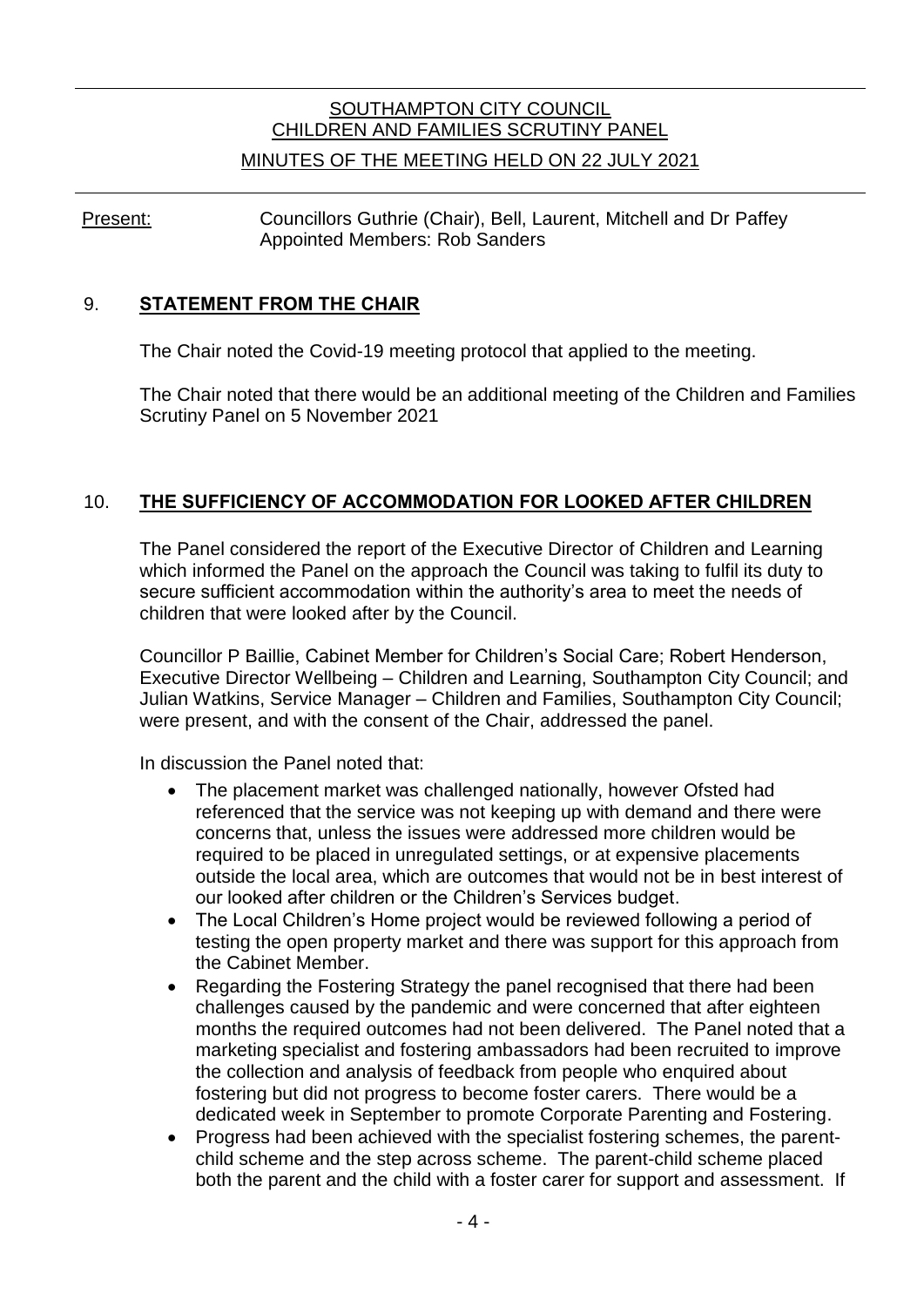# SOUTHAMPTON CITY COUNCIL CHILDREN AND FAMILIES SCRUTINY PANEL

#### MINUTES OF THE MEETING HELD ON 22 JULY 2021

Present: Councillors Guthrie (Chair), Bell, Laurent, Mitchell and Dr Paffey Appointed Members: Rob Sanders

#### 9. **STATEMENT FROM THE CHAIR**

The Chair noted the Covid-19 meeting protocol that applied to the meeting.

The Chair noted that there would be an additional meeting of the Children and Families Scrutiny Panel on 5 November 2021

## 10. **THE SUFFICIENCY OF ACCOMMODATION FOR LOOKED AFTER CHILDREN**

The Panel considered the report of the Executive Director of Children and Learning which informed the Panel on the approach the Council was taking to fulfil its duty to secure sufficient accommodation within the authority's area to meet the needs of children that were looked after by the Council.

Councillor P Baillie, Cabinet Member for Children's Social Care; Robert Henderson, Executive Director Wellbeing – Children and Learning, Southampton City Council; and Julian Watkins, Service Manager – Children and Families, Southampton City Council; were present, and with the consent of the Chair, addressed the panel.

In discussion the Panel noted that:

- The placement market was challenged nationally, however Ofsted had referenced that the service was not keeping up with demand and there were concerns that, unless the issues were addressed more children would be required to be placed in unregulated settings, or at expensive placements outside the local area, which are outcomes that would not be in best interest of our looked after children or the Children's Services budget.
- The Local Children's Home project would be reviewed following a period of testing the open property market and there was support for this approach from the Cabinet Member.
- Regarding the Fostering Strategy the panel recognised that there had been challenges caused by the pandemic and were concerned that after eighteen months the required outcomes had not been delivered. The Panel noted that a marketing specialist and fostering ambassadors had been recruited to improve the collection and analysis of feedback from people who enquired about fostering but did not progress to become foster carers. There would be a dedicated week in September to promote Corporate Parenting and Fostering.
- Progress had been achieved with the specialist fostering schemes, the parentchild scheme and the step across scheme. The parent-child scheme placed both the parent and the child with a foster carer for support and assessment. If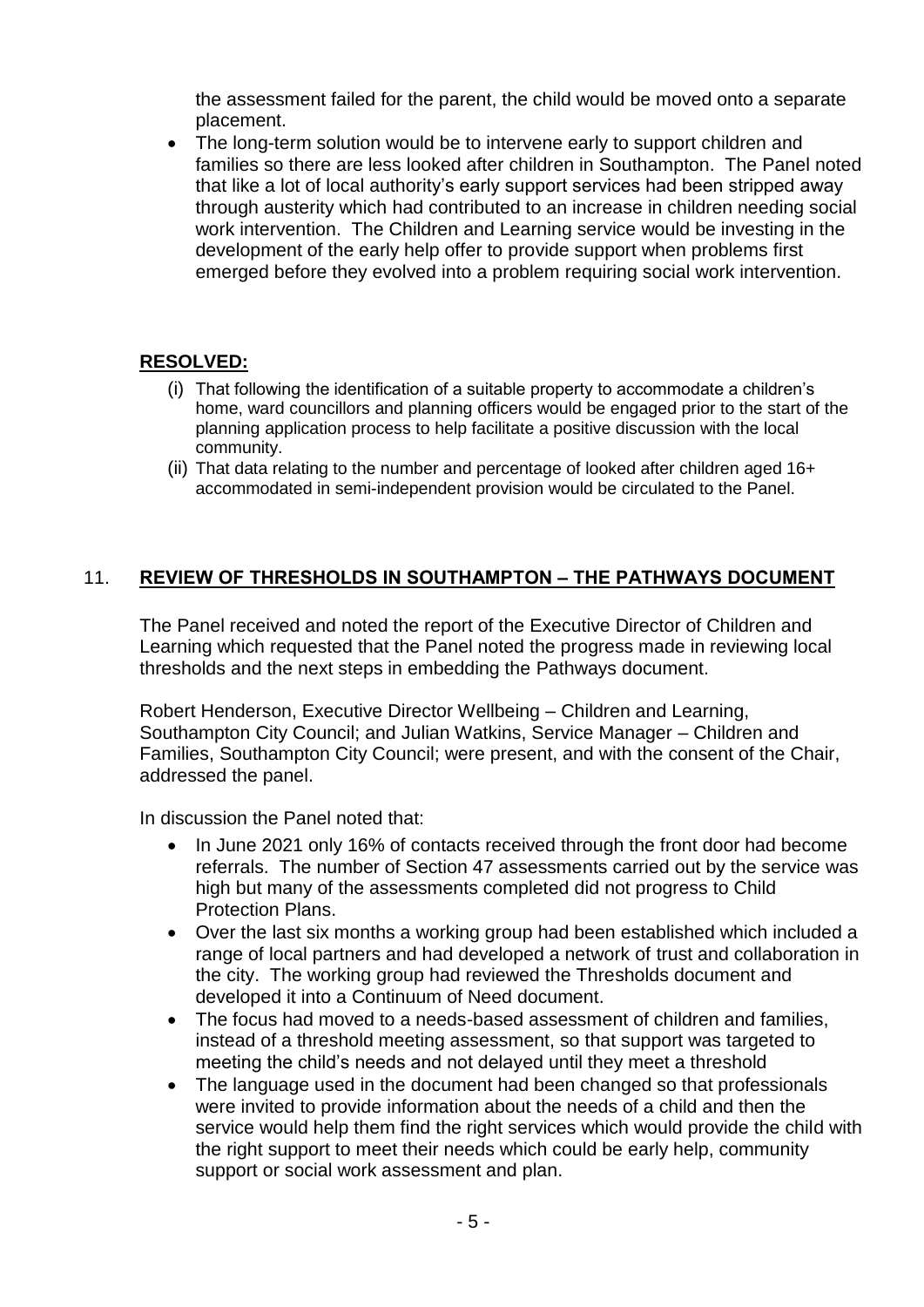the assessment failed for the parent, the child would be moved onto a separate placement.

• The long-term solution would be to intervene early to support children and families so there are less looked after children in Southampton. The Panel noted that like a lot of local authority's early support services had been stripped away through austerity which had contributed to an increase in children needing social work intervention. The Children and Learning service would be investing in the development of the early help offer to provide support when problems first emerged before they evolved into a problem requiring social work intervention.

## **RESOLVED:**

- (i) That following the identification of a suitable property to accommodate a children's home, ward councillors and planning officers would be engaged prior to the start of the planning application process to help facilitate a positive discussion with the local community.
- (ii) That data relating to the number and percentage of looked after children aged 16+ accommodated in semi-independent provision would be circulated to the Panel.

#### 11. **REVIEW OF THRESHOLDS IN SOUTHAMPTON – THE PATHWAYS DOCUMENT**

The Panel received and noted the report of the Executive Director of Children and Learning which requested that the Panel noted the progress made in reviewing local thresholds and the next steps in embedding the Pathways document.

Robert Henderson, Executive Director Wellbeing – Children and Learning, Southampton City Council; and Julian Watkins, Service Manager – Children and Families, Southampton City Council; were present, and with the consent of the Chair, addressed the panel.

In discussion the Panel noted that:

- In June 2021 only 16% of contacts received through the front door had become referrals. The number of Section 47 assessments carried out by the service was high but many of the assessments completed did not progress to Child Protection Plans.
- Over the last six months a working group had been established which included a range of local partners and had developed a network of trust and collaboration in the city. The working group had reviewed the Thresholds document and developed it into a Continuum of Need document.
- The focus had moved to a needs-based assessment of children and families, instead of a threshold meeting assessment, so that support was targeted to meeting the child's needs and not delayed until they meet a threshold
- The language used in the document had been changed so that professionals were invited to provide information about the needs of a child and then the service would help them find the right services which would provide the child with the right support to meet their needs which could be early help, community support or social work assessment and plan.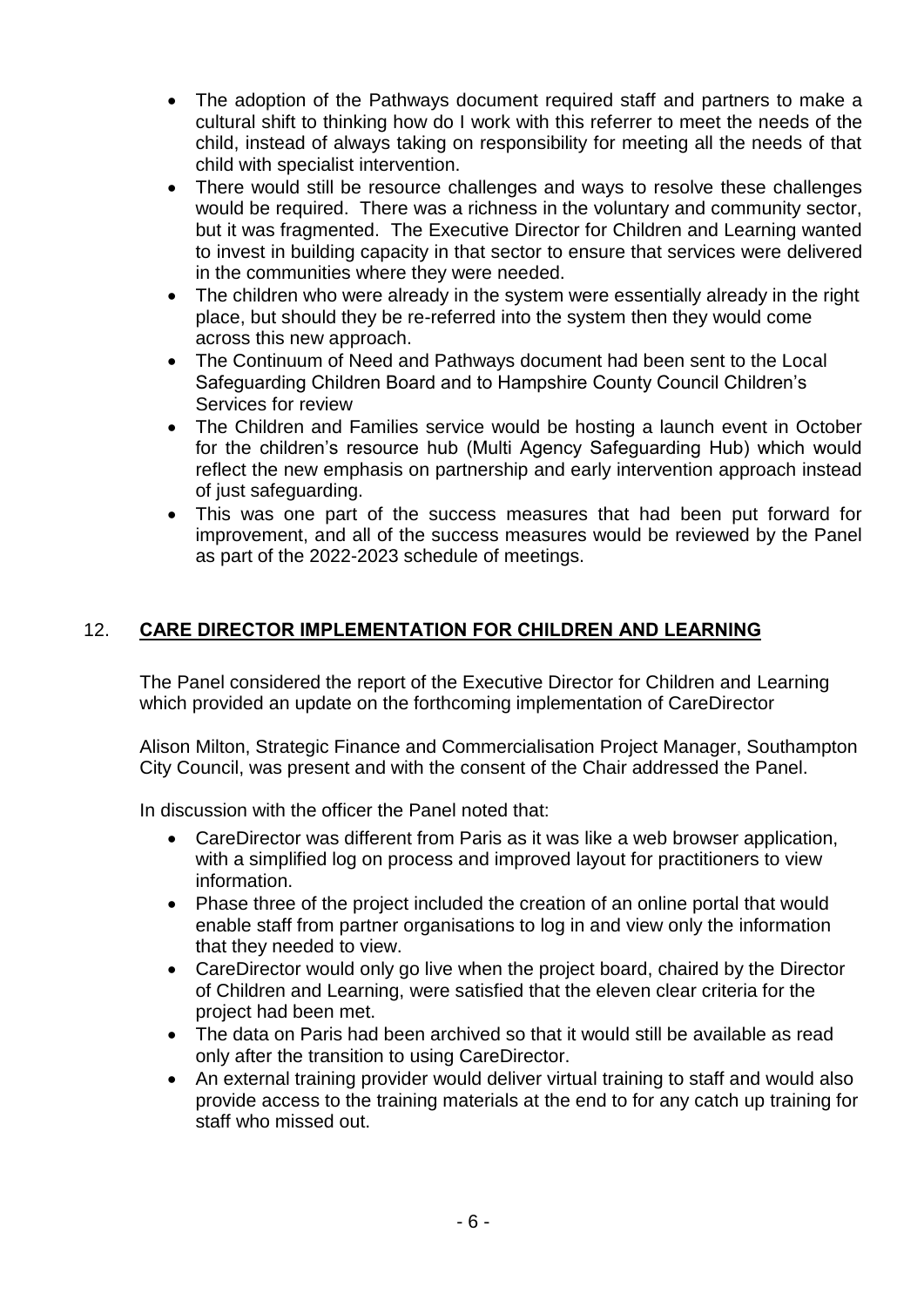- The adoption of the Pathways document required staff and partners to make a cultural shift to thinking how do I work with this referrer to meet the needs of the child, instead of always taking on responsibility for meeting all the needs of that child with specialist intervention.
- There would still be resource challenges and ways to resolve these challenges would be required. There was a richness in the voluntary and community sector, but it was fragmented. The Executive Director for Children and Learning wanted to invest in building capacity in that sector to ensure that services were delivered in the communities where they were needed.
- The children who were already in the system were essentially already in the right place, but should they be re-referred into the system then they would come across this new approach.
- The Continuum of Need and Pathways document had been sent to the Local Safeguarding Children Board and to Hampshire County Council Children's Services for review
- The Children and Families service would be hosting a launch event in October for the children's resource hub (Multi Agency Safeguarding Hub) which would reflect the new emphasis on partnership and early intervention approach instead of just safeguarding.
- This was one part of the success measures that had been put forward for improvement, and all of the success measures would be reviewed by the Panel as part of the 2022-2023 schedule of meetings.

# 12. **CARE DIRECTOR IMPLEMENTATION FOR CHILDREN AND LEARNING**

The Panel considered the report of the Executive Director for Children and Learning which provided an update on the forthcoming implementation of CareDirector

Alison Milton, Strategic Finance and Commercialisation Project Manager, Southampton City Council, was present and with the consent of the Chair addressed the Panel.

In discussion with the officer the Panel noted that:

- CareDirector was different from Paris as it was like a web browser application, with a simplified log on process and improved layout for practitioners to view information.
- Phase three of the project included the creation of an online portal that would enable staff from partner organisations to log in and view only the information that they needed to view.
- CareDirector would only go live when the project board, chaired by the Director of Children and Learning, were satisfied that the eleven clear criteria for the project had been met.
- The data on Paris had been archived so that it would still be available as read only after the transition to using CareDirector.
- An external training provider would deliver virtual training to staff and would also provide access to the training materials at the end to for any catch up training for staff who missed out.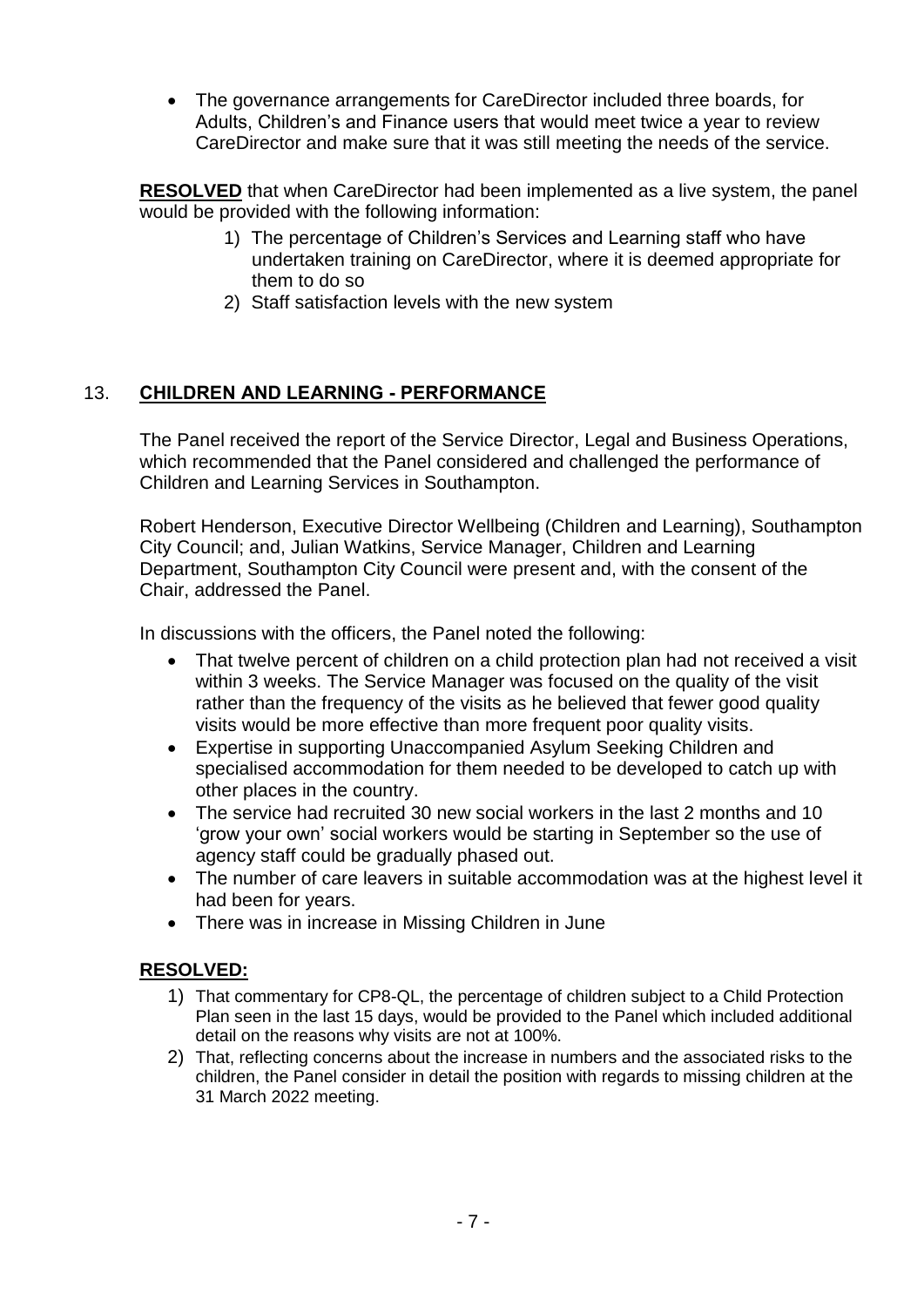The governance arrangements for CareDirector included three boards, for Adults, Children's and Finance users that would meet twice a year to review CareDirector and make sure that it was still meeting the needs of the service.

**RESOLVED** that when CareDirector had been implemented as a live system, the panel would be provided with the following information:

- 1) The percentage of Children's Services and Learning staff who have undertaken training on CareDirector, where it is deemed appropriate for them to do so
- 2) Staff satisfaction levels with the new system

# 13. **CHILDREN AND LEARNING - PERFORMANCE**

The Panel received the report of the Service Director, Legal and Business Operations, which recommended that the Panel considered and challenged the performance of Children and Learning Services in Southampton.

Robert Henderson, Executive Director Wellbeing (Children and Learning), Southampton City Council; and, Julian Watkins, Service Manager, Children and Learning Department, Southampton City Council were present and, with the consent of the Chair, addressed the Panel.

In discussions with the officers, the Panel noted the following:

- That twelve percent of children on a child protection plan had not received a visit within 3 weeks. The Service Manager was focused on the quality of the visit rather than the frequency of the visits as he believed that fewer good quality visits would be more effective than more frequent poor quality visits.
- Expertise in supporting Unaccompanied Asylum Seeking Children and specialised accommodation for them needed to be developed to catch up with other places in the country.
- The service had recruited 30 new social workers in the last 2 months and 10 'grow your own' social workers would be starting in September so the use of agency staff could be gradually phased out.
- The number of care leavers in suitable accommodation was at the highest level it had been for years.
- There was in increase in Missing Children in June

## **RESOLVED:**

- 1) That commentary for CP8-QL, the percentage of children subject to a Child Protection Plan seen in the last 15 days, would be provided to the Panel which included additional detail on the reasons why visits are not at 100%.
- 2) That, reflecting concerns about the increase in numbers and the associated risks to the children, the Panel consider in detail the position with regards to missing children at the 31 March 2022 meeting.